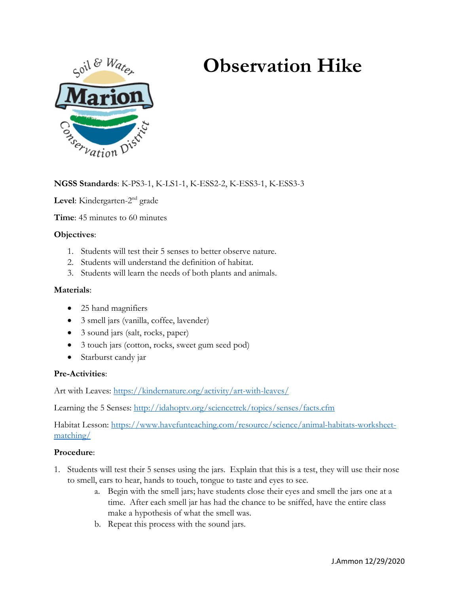# **Observation Hike**



**NGSS Standards**: K-PS3-1, K-LS1-1, K-ESS2-2, K-ESS3-1, K-ESS3-3

Level: Kindergarten-2<sup>nd</sup> grade

**Time**: 45 minutes to 60 minutes

## **Objectives**:

- 1. Students will test their 5 senses to better observe nature.
- 2. Students will understand the definition of habitat.
- 3. Students will learn the needs of both plants and animals.

### **Materials**:

- 25 hand magnifiers
- 3 smell jars (vanilla, coffee, lavender)
- 3 sound jars (salt, rocks, paper)
- 3 touch jars (cotton, rocks, sweet gum seed pod)
- Starburst candy jar

### **Pre-Activities**:

Art with Leaves:<https://kindernature.org/activity/art-with-leaves/>

Learning the 5 Senses:<http://idahoptv.org/sciencetrek/topics/senses/facts.cfm>

Habitat Lesson: [https://www.havefunteaching.com/resource/science/animal-habitats-worksheet](https://www.havefunteaching.com/resource/science/animal-habitats-worksheet-matching/)[matching/](https://www.havefunteaching.com/resource/science/animal-habitats-worksheet-matching/)

### **Procedure**:

- 1. Students will test their 5 senses using the jars. Explain that this is a test, they will use their nose to smell, ears to hear, hands to touch, tongue to taste and eyes to see.
	- a. Begin with the smell jars; have students close their eyes and smell the jars one at a time. After each smell jar has had the chance to be sniffed, have the entire class make a hypothesis of what the smell was.
	- b. Repeat this process with the sound jars.